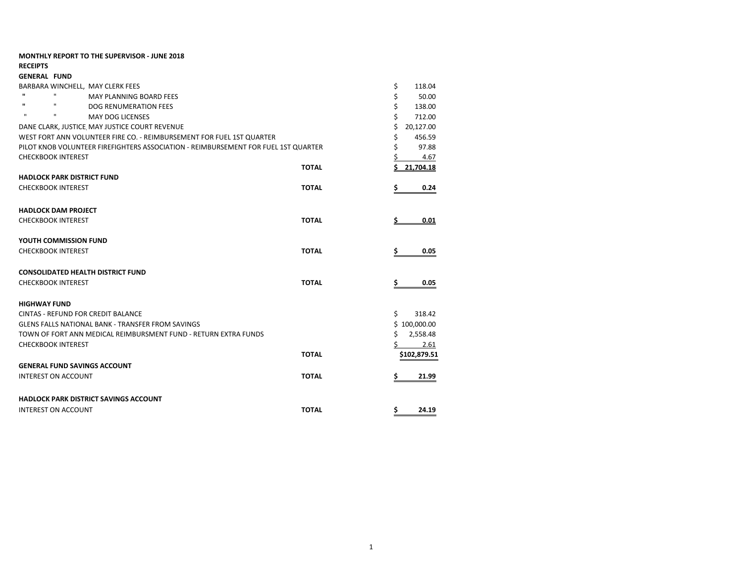|                                           | <b>MONTHLY REPORT TO THE SUPERVISOR - JUNE 2018</b>                                |              |                 |
|-------------------------------------------|------------------------------------------------------------------------------------|--------------|-----------------|
| <b>RECEIPTS</b>                           |                                                                                    |              |                 |
| <b>GENERAL FUND</b>                       |                                                                                    |              |                 |
| BARBARA WINCHELL. MAY CLERK FEES          |                                                                                    |              | \$<br>118.04    |
| $\mathbf{H}$<br>$\mathbf{u}$              | <b>MAY PLANNING BOARD FEES</b>                                                     |              | \$<br>50.00     |
| $\mathbf{u}$<br>$\mathbf{u}$              | <b>DOG RENUMERATION FEES</b>                                                       |              | \$<br>138.00    |
| $\mathbf{u}$<br>$\mathbf{u}$              | <b>MAY DOG LICENSES</b>                                                            |              | \$<br>712.00    |
|                                           | DANE CLARK, JUSTICE MAY JUSTICE COURT REVENUE                                      |              | Ś<br>20,127.00  |
|                                           | WEST FORT ANN VOLUNTEER FIRE CO. - REIMBURSEMENT FOR FUEL 1ST QUARTER              |              | \$<br>456.59    |
|                                           | PILOT KNOB VOLUNTEER FIREFIGHTERS ASSOCIATION - REIMBURSEMENT FOR FUEL 1ST QUARTER |              | Ś<br>97.88      |
| <b>CHECKBOOK INTEREST</b>                 |                                                                                    |              | 4.67            |
|                                           |                                                                                    | <b>TOTAL</b> | Ś.<br>21.704.18 |
| <b>HADLOCK PARK DISTRICT FUND</b>         |                                                                                    |              |                 |
| <b>CHECKBOOK INTEREST</b>                 |                                                                                    | <b>TOTAL</b> | \$<br>0.24      |
|                                           |                                                                                    |              |                 |
| <b>HADLOCK DAM PROJECT</b>                |                                                                                    |              |                 |
| <b>CHECKBOOK INTEREST</b>                 |                                                                                    | <b>TOTAL</b> | 0.01<br>s       |
| YOUTH COMMISSION FUND                     |                                                                                    |              |                 |
| <b>CHECKBOOK INTEREST</b>                 |                                                                                    | <b>TOTAL</b> | \$<br>0.05      |
| <b>CONSOLIDATED HEALTH DISTRICT FUND</b>  |                                                                                    |              |                 |
| <b>CHECKBOOK INTEREST</b>                 |                                                                                    | <b>TOTAL</b> | \$<br>0.05      |
|                                           |                                                                                    |              |                 |
| <b>HIGHWAY FUND</b>                       |                                                                                    |              |                 |
| <b>CINTAS - REFUND FOR CREDIT BALANCE</b> |                                                                                    |              | Ś.<br>318.42    |
|                                           | <b>GLENS FALLS NATIONAL BANK - TRANSFER FROM SAVINGS</b>                           |              | \$100,000.00    |
|                                           | TOWN OF FORT ANN MEDICAL REIMBURSMENT FUND - RETURN EXTRA FUNDS                    |              | \$<br>2,558.48  |
| <b>CHECKBOOK INTEREST</b>                 |                                                                                    |              | 2.61            |
|                                           |                                                                                    | <b>TOTAL</b> | \$102,879.51    |
| <b>GENERAL FUND SAVINGS ACCOUNT</b>       |                                                                                    |              |                 |
| <b>INTEREST ON ACCOUNT</b>                |                                                                                    | <b>TOTAL</b> | 21.99<br>\$     |
|                                           |                                                                                    |              |                 |
|                                           | <b>HADLOCK PARK DISTRICT SAVINGS ACCOUNT</b>                                       |              |                 |
| <b>INTEREST ON ACCOUNT</b>                |                                                                                    | <b>TOTAL</b> | \$.<br>24.19    |
|                                           |                                                                                    |              |                 |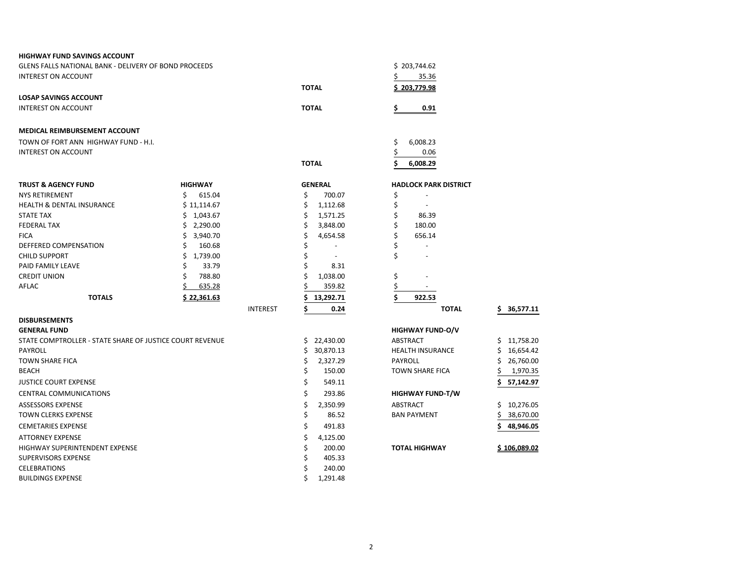| <b>HIGHWAY FUND SAVINGS ACCOUNT</b>                      |                |                 |              |                |                |                              |                  |
|----------------------------------------------------------|----------------|-----------------|--------------|----------------|----------------|------------------------------|------------------|
| GLENS FALLS NATIONAL BANK - DELIVERY OF BOND PROCEEDS    |                |                 |              | \$203,744.62   |                |                              |                  |
| <b>INTEREST ON ACCOUNT</b>                               |                |                 |              |                | Ś              | 35.36                        |                  |
|                                                          |                |                 | <b>TOTAL</b> |                |                | <u>\$203.779.98</u>          |                  |
| <b>LOSAP SAVINGS ACCOUNT</b>                             |                |                 |              |                |                |                              |                  |
| <b>INTEREST ON ACCOUNT</b>                               |                |                 | <b>TOTAL</b> |                | \$             | 0.91                         |                  |
|                                                          |                |                 |              |                |                |                              |                  |
| MEDICAL REIMBURSEMENT ACCOUNT                            |                |                 |              |                |                |                              |                  |
| TOWN OF FORT ANN HIGHWAY FUND - H.I.                     |                |                 |              |                | \$             | 6,008.23                     |                  |
| <b>INTEREST ON ACCOUNT</b>                               |                |                 |              |                | \$             | 0.06                         |                  |
|                                                          |                |                 | <b>TOTAL</b> |                |                | 6,008.29                     |                  |
| <b>TRUST &amp; AGENCY FUND</b>                           | <b>HIGHWAY</b> |                 |              | <b>GENERAL</b> |                | <b>HADLOCK PARK DISTRICT</b> |                  |
| <b>NYS RETIREMENT</b>                                    | \$.<br>615.04  |                 | \$           | 700.07         | \$             |                              |                  |
| <b>HEALTH &amp; DENTAL INSURANCE</b>                     | \$11,114.67    |                 | \$           | 1,112.68       | \$             | $\overline{\phantom{a}}$     |                  |
| <b>STATE TAX</b>                                         | \$1,043.67     |                 | \$           | 1,571.25       | \$             | 86.39                        |                  |
| <b>FEDERAL TAX</b>                                       | \$2,290.00     |                 | \$           | 3,848.00       | \$             | 180.00                       |                  |
| <b>FICA</b>                                              | Ś.<br>3,940.70 |                 | \$           | 4,654.58       | \$             | 656.14                       |                  |
| DEFFERED COMPENSATION                                    | \$<br>160.68   |                 |              | Ĭ.             | \$             | $\overline{\phantom{a}}$     |                  |
| <b>CHILD SUPPORT</b>                                     | Ś<br>1,739.00  |                 | Ś            |                | \$             |                              |                  |
| PAID FAMILY LEAVE                                        | \$<br>33.79    |                 | \$           | 8.31           |                |                              |                  |
| <b>CREDIT UNION</b>                                      | \$<br>788.80   |                 |              | 1,038.00       | \$             |                              |                  |
| AFLAC                                                    | \$<br>635.28   |                 |              | 359.82         | \$             |                              |                  |
| <b>TOTALS</b>                                            | \$22,361.63    |                 |              | 13,292.71      | \$             | 922.53                       |                  |
|                                                          |                | <b>INTEREST</b> |              | 0.24           |                | <b>TOTAL</b>                 | 36,577.11<br>\$. |
| <b>DISBURSEMENTS</b>                                     |                |                 |              |                |                |                              |                  |
| <b>GENERAL FUND</b>                                      |                |                 |              |                |                | <b>HIGHWAY FUND-O/V</b>      |                  |
| STATE COMPTROLLER - STATE SHARE OF JUSTICE COURT REVENUE |                |                 |              | \$22,430.00    | ABSTRACT       |                              | \$11,758.20      |
| <b>PAYROLL</b>                                           |                |                 | \$           | 30,870.13      |                | HEALTH INSURANCE             | \$<br>16,654.42  |
| <b>TOWN SHARE FICA</b>                                   |                |                 | \$           | 2,327.29       | <b>PAYROLL</b> |                              | \$<br>26,760.00  |
| <b>BEACH</b>                                             |                |                 | \$           | 150.00         |                | <b>TOWN SHARE FICA</b>       | \$<br>1,970.35   |
| <b>JUSTICE COURT EXPENSE</b>                             |                |                 | \$           | 549.11         |                |                              | Ś.<br>57,142.97  |
| <b>CENTRAL COMMUNICATIONS</b>                            |                |                 | \$           | 293.86         |                | <b>HIGHWAY FUND-T/W</b>      |                  |
| <b>ASSESSORS EXPENSE</b>                                 |                |                 | \$           | 2,350.99       | ABSTRACT       |                              | \$10,276.05      |
| <b>TOWN CLERKS EXPENSE</b>                               |                |                 | \$           | 86.52          |                | <b>BAN PAYMENT</b>           | 38,670.00        |
| <b>CEMETARIES EXPENSE</b>                                |                |                 | \$           | 491.83         |                |                              | 48,946.05        |
| <b>ATTORNEY EXPENSE</b>                                  |                |                 | \$           | 4,125.00       |                |                              |                  |
| HIGHWAY SUPERINTENDENT EXPENSE                           |                |                 | \$           | 200.00         |                | <b>TOTAL HIGHWAY</b>         | \$106.089.02     |
| <b>SUPERVISORS EXPENSE</b>                               |                |                 |              | 405.33         |                |                              |                  |
| <b>CELEBRATIONS</b>                                      |                |                 |              | 240.00         |                |                              |                  |
| <b>BUILDINGS EXPENSE</b>                                 |                |                 | Ś            | 1,291.48       |                |                              |                  |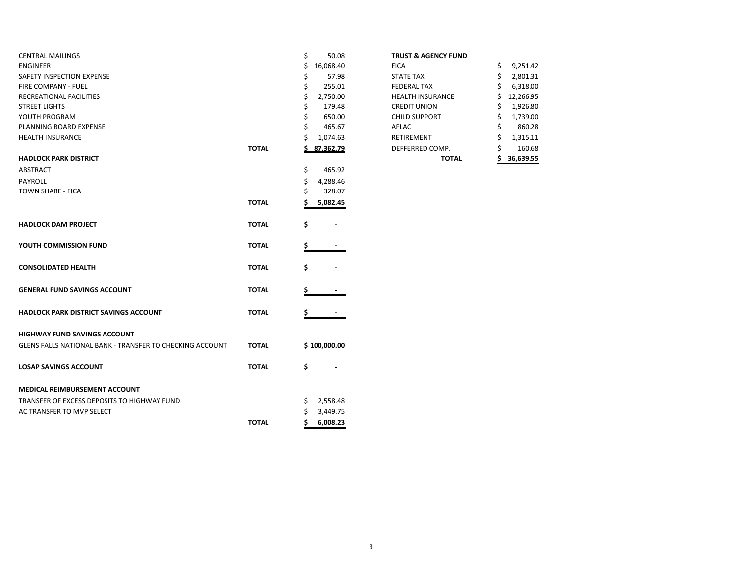| <b>CENTRAL MAILINGS</b>                                  |              | \$<br>50.08    | <b>TRUST &amp; AGENCY FUND</b> |                |
|----------------------------------------------------------|--------------|----------------|--------------------------------|----------------|
| <b>ENGINEER</b>                                          |              | Ś<br>16,068.40 | <b>FICA</b>                    | \$<br>9,251.42 |
| <b>SAFETY INSPECTION EXPENSE</b>                         |              | 57.98          | <b>STATE TAX</b>               | Ś<br>2,801.31  |
| <b>FIRE COMPANY - FUEL</b>                               |              | 255.01         | <b>FEDERAL TAX</b>             | 6,318.00       |
| RECREATIONAL FACILITIES                                  |              | 2,750.00       | <b>HEALTH INSURANCE</b>        | 12,266.95      |
| <b>STREET LIGHTS</b>                                     |              | 179.48         | <b>CREDIT UNION</b>            | 1,926.80       |
| YOUTH PROGRAM                                            |              | 650.00         | <b>CHILD SUPPORT</b>           | 1,739.00       |
| PLANNING BOARD EXPENSE                                   |              | 465.67         | AFLAC                          | 860.28         |
| <b>HEALTH INSURANCE</b>                                  |              | 1,074.63       | <b>RETIREMENT</b>              | 1,315.11       |
|                                                          | <b>TOTAL</b> | 87,362.79      | DEFFERRED COMP.                | 160.68         |
| <b>HADLOCK PARK DISTRICT</b>                             |              |                | <b>TOTAL</b>                   | 36,639.55      |
| ABSTRACT                                                 |              | \$<br>465.92   |                                |                |
| <b>PAYROLL</b>                                           |              | Ś<br>4,288.46  |                                |                |
| <b>TOWN SHARE - FICA</b>                                 |              | 328.07         |                                |                |
|                                                          | <b>TOTAL</b> | 5,082.45       |                                |                |
|                                                          |              |                |                                |                |
| <b>HADLOCK DAM PROJECT</b>                               | <b>TOTAL</b> |                |                                |                |
|                                                          |              |                |                                |                |
| YOUTH COMMISSION FUND                                    | <b>TOTAL</b> |                |                                |                |
|                                                          |              |                |                                |                |
| <b>CONSOLIDATED HEALTH</b>                               | <b>TOTAL</b> |                |                                |                |
|                                                          |              |                |                                |                |
| <b>GENERAL FUND SAVINGS ACCOUNT</b>                      | <b>TOTAL</b> |                |                                |                |
|                                                          |              |                |                                |                |
| <b>HADLOCK PARK DISTRICT SAVINGS ACCOUNT</b>             | <b>TOTAL</b> |                |                                |                |
|                                                          |              |                |                                |                |
| <b>HIGHWAY FUND SAVINGS ACCOUNT</b>                      |              |                |                                |                |
| GLENS FALLS NATIONAL BANK - TRANSFER TO CHECKING ACCOUNT | <b>TOTAL</b> | \$100,000.00   |                                |                |
|                                                          |              |                |                                |                |
| <b>LOSAP SAVINGS ACCOUNT</b>                             | <b>TOTAL</b> |                |                                |                |
|                                                          |              |                |                                |                |
| <b>MEDICAL REIMBURSEMENT ACCOUNT</b>                     |              |                |                                |                |
|                                                          |              |                |                                |                |
| TRANSFER OF EXCESS DEPOSITS TO HIGHWAY FUND              |              | 2,558.48<br>S  |                                |                |
| AC TRANSFER TO MVP SELECT                                |              | 3,449.75       |                                |                |
|                                                          | <b>TOTAL</b> | Ś<br>6,008.23  |                                |                |

## **TRUST & AGENCY FUND**

|       |                 | <b>TOTAL</b>            | 36,639.55       |
|-------|-----------------|-------------------------|-----------------|
| ΤΟΤΑL | 87,362.79       | DEFFERRED COMP.         | \$<br>160.68    |
|       | 1,074.63        | RETIREMENT              | \$<br>1,315.11  |
|       | \$<br>465.67    | AFLAC                   | \$<br>860.28    |
|       | \$<br>650.00    | <b>CHILD SUPPORT</b>    | \$<br>1,739.00  |
|       | \$<br>179.48    | <b>CREDIT UNION</b>     | \$<br>1,926.80  |
|       | \$<br>2,750.00  | <b>HEALTH INSURANCE</b> | \$<br>12,266.95 |
|       | \$<br>255.01    | <b>FEDERAL TAX</b>      | \$<br>6,318.00  |
|       | \$<br>57.98     | <b>STATE TAX</b>        | \$<br>2,801.31  |
|       | \$<br>16,068.40 | <b>FICA</b>             | \$<br>9,251.42  |